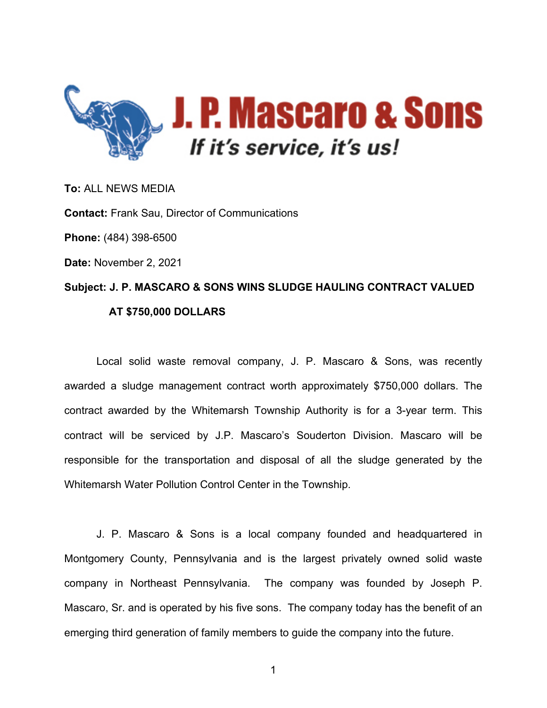

**To:** ALL NEWS MEDIA **Contact:** Frank Sau, Director of Communications **Phone:** (484) 398-6500 **Date:** November 2, 2021 **Subject: J. P. MASCARO & SONS WINS SLUDGE HAULING CONTRACT VALUED AT \$750,000 DOLLARS**

Local solid waste removal company, J. P. Mascaro & Sons, was recently awarded a sludge management contract worth approximately \$750,000 dollars. The contract awarded by the Whitemarsh Township Authority is for a 3-year term. This contract will be serviced by J.P. Mascaro's Souderton Division. Mascaro will be responsible for the transportation and disposal of all the sludge generated by the Whitemarsh Water Pollution Control Center in the Township.

J. P. Mascaro & Sons is a local company founded and headquartered in Montgomery County, Pennsylvania and is the largest privately owned solid waste company in Northeast Pennsylvania. The company was founded by Joseph P. Mascaro, Sr. and is operated by his five sons. The company today has the benefit of an emerging third generation of family members to guide the company into the future.

1